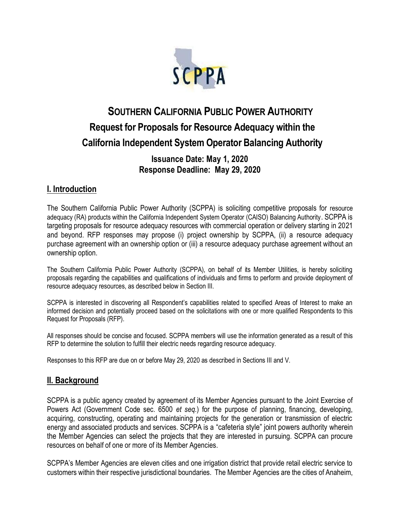

# **SOUTHERN CALIFORNIA PUBLIC POWER AUTHORITY Request for Proposals for Resource Adequacy within the California Independent System Operator Balancing Authority**

**Issuance Date: May 1, 2020 Response Deadline: May 29, 2020**

### **I. Introduction**

The Southern California Public Power Authority (SCPPA) is soliciting competitive proposals for resource adequacy (RA) products within the California Independent System Operator (CAISO) Balancing Authority. SCPPA is targeting proposals for resource adequacy resources with commercial operation or delivery starting in 2021 and beyond. RFP responses may propose (i) project ownership by SCPPA, (ii) a resource adequacy purchase agreement with an ownership option or (iii) a resource adequacy purchase agreement without an ownership option.

The Southern California Public Power Authority (SCPPA), on behalf of its Member Utilities, is hereby soliciting proposals regarding the capabilities and qualifications of individuals and firms to perform and provide deployment of resource adequacy resources, as described below in Section III.

SCPPA is interested in discovering all Respondent's capabilities related to specified Areas of Interest to make an informed decision and potentially proceed based on the solicitations with one or more qualified Respondents to this Request for Proposals (RFP).

All responses should be concise and focused. SCPPA members will use the information generated as a result of this RFP to determine the solution to fulfill their electric needs regarding resource adequacy.

Responses to this RFP are due on or before May 29, 2020 as described in Sections III and V.

### **II. Background**

SCPPA is a public agency created by agreement of its Member Agencies pursuant to the Joint Exercise of Powers Act (Government Code sec. 6500 *et seq.*) for the purpose of planning, financing, developing, acquiring, constructing, operating and maintaining projects for the generation or transmission of electric energy and associated products and services. SCPPA is a "cafeteria style" joint powers authority wherein the Member Agencies can select the projects that they are interested in pursuing. SCPPA can procure resources on behalf of one or more of its Member Agencies.

SCPPA's Member Agencies are eleven cities and one irrigation district that provide retail electric service to customers within their respective jurisdictional boundaries. The Member Agencies are the cities of Anaheim,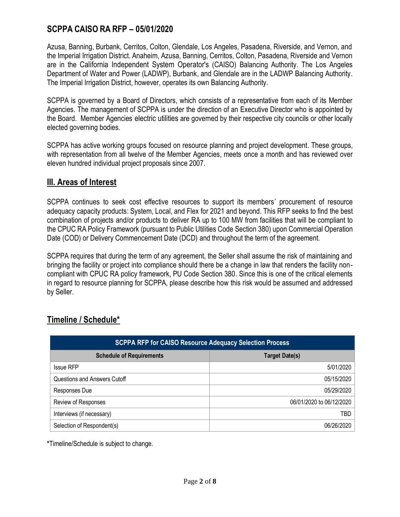Azusa, Banning, Burbank, Cerritos, Colton, Glendale, Los Angeles, Pasadena, Riverside, and Vernon, and the Imperial Irrigation District. Anaheim, Azusa, Banning, Cerritos, Colton, Pasadena, Riverside and Vernon are in the California Independent System Operator's (CAISO) Balancing Authority. The Los Angeles Department of Water and Power (LADWP), Burbank, and Glendale are in the LADWP Balancing Authority. The Imperial Irrigation District, however, operates its own Balancing Authority.

SCPPA is governed by a Board of Directors, which consists of a representative from each of its Member Agencies. The management of SCPPA is under the direction of an Executive Director who is appointed by the Board. Member Agencies' electric utilities are governed by their respective city councils or other locally elected governing bodies.

SCPPA has active working groups focused on resource planning and project development. These groups, with representation from all twelve of the Member Agencies, meets once a month and has reviewed over eleven hundred individual project proposals since 2007.

#### **III. Areas of Interest**

SCPPA continues to seek cost effective resources to support its members' procurement of resource adequacy capacity products: System, Local, and Flex for 2021 and beyond. This RFP seeks to find the best combination of projects and/or products to deliver RA up to 100 MW from facilities that will be compliant to the CPUC RA Policy Framework (pursuant to Public Utilities Code Section 380) upon Commercial Operation Date (COD) or Delivery Commencement Date (DCD) and throughout the term of the agreement.

SCPPA requires that during the term of any agreement, the Seller shall assume the risk of maintaining and bringing the facility or project into compliance should there be a change in law that renders the facility noncompliant with CPUC RA policy framework, PU Code Section 380. Since this is one of the critical elements in regard to resource planning for SCPPA, please describe how this risk would be assumed and addressed by Seller.

| <b>SCPPA RFP for CAISO Resource Adequacy Selection Process</b> |                          |
|----------------------------------------------------------------|--------------------------|
| <b>Schedule of Requirements</b>                                | <b>Target Date(s)</b>    |
| <b>Issue RFP</b>                                               | 5/01/2020                |
| Questions and Answers Cutoff                                   | 05/15/2020               |
| Responses Due                                                  | 05/29/2020               |
| Review of Responses                                            | 06/01/2020 to 06/12/2020 |
| Interviews (if necessary)                                      | TBD                      |
| Selection of Respondent(s)                                     | 06/26/2020               |

# **Timeline / Schedule\***

**\***Timeline/Schedule is subject to change.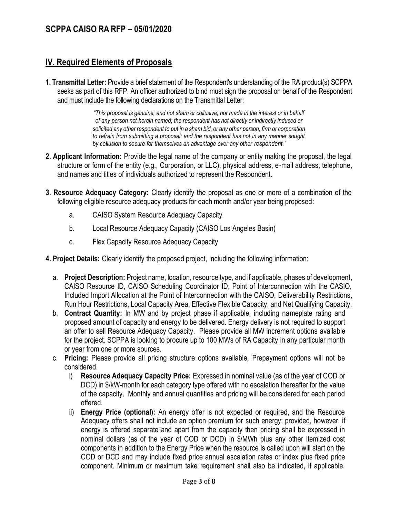# **IV. Required Elements of Proposals**

**1. Transmittal Letter:** Provide a brief statement of the Respondent's understanding of the RA product(s) SCPPA seeks as part of this RFP. An officer authorized to bind must sign the proposal on behalf of the Respondent and must include the following declarations on the Transmittal Letter:

> *"This proposal is genuine, and not sham or collusive, nor made in the interest or in behalf of any person not herein named; the respondent has not directly or indirectly induced or solicited any other respondent to put in a sham bid, or any other person, firm or corporation to refrain from submitting a proposal; and the respondent has not in any manner sought by collusion to secure for themselves an advantage over any other respondent."*

- **2. Applicant Information:** Provide the legal name of the company or entity making the proposal, the legal structure or form of the entity (e.g., Corporation, or LLC), physical address, e-mail address, telephone, and names and titles of individuals authorized to represent the Respondent.
- **3. Resource Adequacy Category:** Clearly identify the proposal as one or more of a combination of the following eligible resource adequacy products for each month and/or year being proposed:
	- a. CAISO System Resource Adequacy Capacity
	- b. Local Resource Adequacy Capacity (CAISO Los Angeles Basin)
	- c. Flex Capacity Resource Adequacy Capacity
- **4. Project Details:** Clearly identify the proposed project, including the following information:
	- a. **Project Description:** Project name, location, resource type, and if applicable, phases of development, CAISO Resource ID, CAISO Scheduling Coordinator ID, Point of Interconnection with the CASIO, Included Import Allocation at the Point of Interconnection with the CAISO, Deliverability Restrictions, Run Hour Restrictions, Local Capacity Area, Effective Flexible Capacity, and Net Qualifying Capacity.
	- b. **Contract Quantity:** In MW and by project phase if applicable, including nameplate rating and proposed amount of capacity and energy to be delivered. Energy delivery is not required to support an offer to sell Resource Adequacy Capacity. Please provide all MW increment options available for the project. SCPPA is looking to procure up to 100 MWs of RA Capacity in any particular month or year from one or more sources.
	- c. **Pricing:** Please provide all pricing structure options available, Prepayment options will not be considered.
		- i) **Resource Adequacy Capacity Price:** Expressed in nominal value (as of the year of COD or DCD) in \$/kW-month for each category type offered with no escalation thereafter for the value of the capacity. Monthly and annual quantities and pricing will be considered for each period offered.
		- ii) **Energy Price (optional):** An energy offer is not expected or required, and the Resource Adequacy offers shall not include an option premium for such energy; provided, however, if energy is offered separate and apart from the capacity then pricing shall be expressed in nominal dollars (as of the year of COD or DCD) in \$/MWh plus any other itemized cost components in addition to the Energy Price when the resource is called upon will start on the COD or DCD and may include fixed price annual escalation rates or index plus fixed price component. Minimum or maximum take requirement shall also be indicated, if applicable.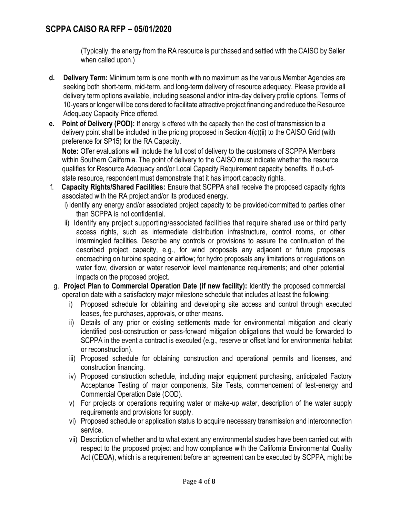(Typically, the energy from the RA resource is purchased and settled with the CAISO by Seller when called upon.)

- **d. Delivery Term:** Minimum term is one month with no maximum as the various Member Agencies are seeking both short-term, mid-term, and long-term delivery of resource adequacy. Please provide all delivery term options available, including seasonal and/or intra-day delivery profile options. Terms of 10-years or longer will be considered to facilitate attractive project financing and reduce the Resource Adequacy Capacity Price offered.
- **e. Point of Delivery (POD):** If energy is offered with the capacity then the cost of transmission to a delivery point shall be included in the pricing proposed in Section  $4(c)$ (ii) to the CAISO Grid (with preference for SP15) for the RA Capacity.

**Note:** Offer evaluations will include the full cost of delivery to the customers of SCPPA Members within Southern California. The point of delivery to the CAISO must indicate whether the resource qualifies for Resource Adequacy and/or Local Capacity Requirement capacity benefits. If out-ofstate resource, respondent must demonstrate that it has import capacity rights.

- f. **Capacity Rights/Shared Facilities:** Ensure that SCPPA shall receive the proposed capacity rights associated with the RA project and/or its produced energy.
	- i) Identify any energy and/or associated project capacity to be provided/committed to parties other than SCPPA is not confidential.
	- ii) Identify any project supporting/associated facilities that require shared use or third party access rights, such as intermediate distribution infrastructure, control rooms, or other intermingled facilities. Describe any controls or provisions to assure the continuation of the described project capacity, e.g., for wind proposals any adjacent or future proposals encroaching on turbine spacing or airflow; for hydro proposals any limitations or regulations on water flow, diversion or water reservoir level maintenance requirements; and other potential impacts on the proposed project.
- g. **Project Plan to Commercial Operation Date (if new facility):** Identify the proposed commercial operation date with a satisfactory major milestone schedule that includes at least the following:
	- i) Proposed schedule for obtaining and developing site access and control through executed leases, fee purchases, approvals, or other means.
	- ii) Details of any prior or existing settlements made for environmental mitigation and clearly identified post-construction or pass-forward mitigation obligations that would be forwarded to SCPPA in the event a contract is executed (e.g., reserve or offset land for environmental habitat or reconstruction).
	- iii) Proposed schedule for obtaining construction and operational permits and licenses, and construction financing.
	- iv) Proposed construction schedule, including major equipment purchasing, anticipated Factory Acceptance Testing of major components, Site Tests, commencement of test-energy and Commercial Operation Date (COD).
	- v) For projects or operations requiring water or make-up water, description of the water supply requirements and provisions for supply.
	- vi) Proposed schedule or application status to acquire necessary transmission and interconnection service.
	- vii) Description of whether and to what extent any environmental studies have been carried out with respect to the proposed project and how compliance with the California Environmental Quality Act (CEQA), which is a requirement before an agreement can be executed by SCPPA, might be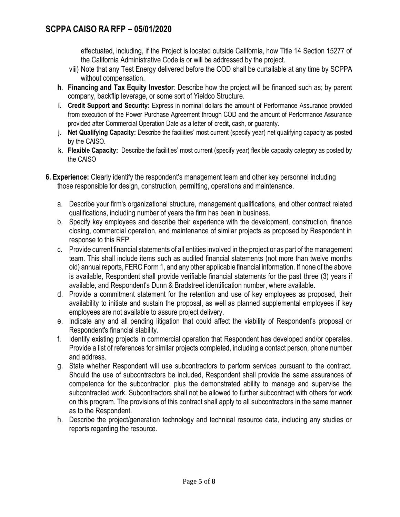effectuated, including, if the Project is located outside California, how Title 14 Section 15277 of the California Administrative Code is or will be addressed by the project.

- viii) Note that any Test Energy delivered before the COD shall be curtailable at any time by SCPPA without compensation.
- **h. Financing and Tax Equity Investor**: Describe how the project will be financed such as; by parent company, backflip leverage, or some sort of Yieldco Structure.
- **i. Credit Support and Security:** Express in nominal dollars the amount of Performance Assurance provided from execution of the Power Purchase Agreement through COD and the amount of Performance Assurance provided after Commercial Operation Date as a letter of credit, cash, or guaranty.
- **j. Net Qualifying Capacity:** Describe the facilities' most current (specify year) net qualifying capacity as posted by the CAISO.
- **k. Flexible Capacity:** Describe the facilities' most current (specify year) flexible capacity category as posted by the CAISO
- **6. Experience:** Clearly identify the respondent's management team and other key personnel including those responsible for design, construction, permitting, operations and maintenance.
	- a. Describe your firm's organizational structure, management qualifications, and other contract related qualifications, including number of years the firm has been in business.
	- b. Specify key employees and describe their experience with the development, construction, finance closing, commercial operation, and maintenance of similar projects as proposed by Respondent in response to this RFP.
	- c. Provide current financial statements of all entities involved in the project or as part of the management team. This shall include items such as audited financial statements (not more than twelve months old) annual reports, FERC Form 1, and any other applicable financial information. If none of the above is available, Respondent shall provide verifiable financial statements for the past three (3) years if available, and Respondent's Dunn & Bradstreet identification number, where available.
	- d. Provide a commitment statement for the retention and use of key employees as proposed, their availability to initiate and sustain the proposal, as well as planned supplemental employees if key employees are not available to assure project delivery.
	- e. Indicate any and all pending litigation that could affect the viability of Respondent's proposal or Respondent's financial stability.
	- f. Identify existing projects in commercial operation that Respondent has developed and/or operates. Provide a list of references for similar projects completed, including a contact person, phone number and address.
	- g. State whether Respondent will use subcontractors to perform services pursuant to the contract. Should the use of subcontractors be included, Respondent shall provide the same assurances of competence for the subcontractor, plus the demonstrated ability to manage and supervise the subcontracted work. Subcontractors shall not be allowed to further subcontract with others for work on this program. The provisions of this contract shall apply to all subcontractors in the same manner as to the Respondent.
	- h. Describe the project/generation technology and technical resource data, including any studies or reports regarding the resource.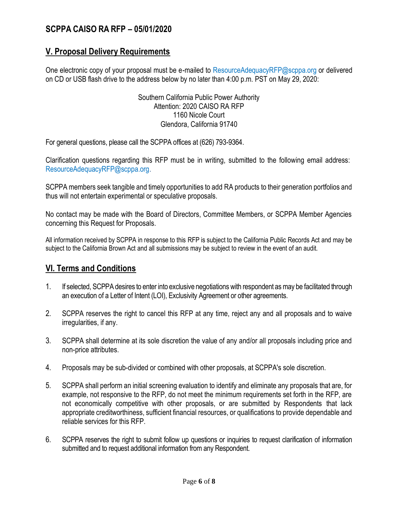#### **V. Proposal Delivery Requirements**

One electronic copy of your proposal must be e-mailed [to](mailto:to_knguyen@scppa.org) ResourceAdequacyRFP@scppa.org or delivered on CD or USB flash drive to the address below by no later than 4:00 p.m. PST on May 29, 2020:

> Southern California Public Power Authority Attention: 2020 CAISO RA RFP 1160 Nicole Court Glendora, California 91740

For general questions, please call the SCPPA offices at (626) 793-9364.

Clarification questions regarding this RFP must be in writing, submitted to the following email address: ResourceAdequacyRFP@scppa.org.

SCPPA members seek tangible and timely opportunities to add RA products to their generation portfolios and thus will not entertain experimental or speculative proposals.

No contact may be made with the Board of Directors, Committee Members, or SCPPA Member Agencies concerning this Request for Proposals.

All information received by SCPPA in response to this RFP is subject to the California Public Records Act and may be subject to the California Brown Act and all submissions may be subject to review in the event of an audit.

#### **VI. Terms and Conditions**

- 1. If selected, SCPPA desires to enter into exclusive negotiations with respondent as may be facilitated through an execution of a Letter of Intent (LOI), Exclusivity Agreement or other agreements.
- 2. SCPPA reserves the right to cancel this RFP at any time, reject any and all proposals and to waive irregularities, if any.
- 3. SCPPA shall determine at its sole discretion the value of any and/or all proposals including price and non-price attributes.
- 4. Proposals may be sub-divided or combined with other proposals, at SCPPA's sole discretion.
- 5. SCPPA shall perform an initial screening evaluation to identify and eliminate any proposals that are, for example, not responsive to the RFP, do not meet the minimum requirements set forth in the RFP, are not economically competitive with other proposals, or are submitted by Respondents that lack appropriate creditworthiness, sufficient financial resources, or qualifications to provide dependable and reliable services for this RFP.
- 6. SCPPA reserves the right to submit follow up questions or inquiries to request clarification of information submitted and to request additional information from any Respondent.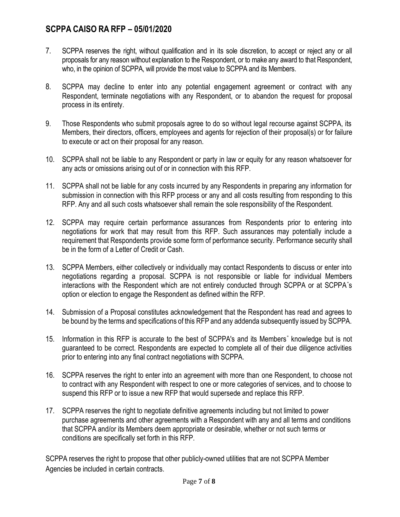- 7. SCPPA reserves the right, without qualification and in its sole discretion, to accept or reject any or all proposals for any reason without explanation to the Respondent, or to make any award to that Respondent, who, in the opinion of SCPPA, will provide the most value to SCPPA and its Members.
- 8. SCPPA may decline to enter into any potential engagement agreement or contract with any Respondent, terminate negotiations with any Respondent, or to abandon the request for proposal process in its entirety.
- 9. Those Respondents who submit proposals agree to do so without legal recourse against SCPPA, its Members, their directors, officers, employees and agents for rejection of their proposal(s) or for failure to execute or act on their proposal for any reason.
- 10. SCPPA shall not be liable to any Respondent or party in law or equity for any reason whatsoever for any acts or omissions arising out of or in connection with this RFP.
- 11. SCPPA shall not be liable for any costs incurred by any Respondents in preparing any information for submission in connection with this RFP process or any and all costs resulting from responding to this RFP. Any and all such costs whatsoever shall remain the sole responsibility of the Respondent.
- 12. SCPPA may require certain performance assurances from Respondents prior to entering into negotiations for work that may result from this RFP. Such assurances may potentially include a requirement that Respondents provide some form of performance security. Performance security shall be in the form of a Letter of Credit or Cash.
- 13. SCPPA Members, either collectively or individually may contact Respondents to discuss or enter into negotiations regarding a proposal. SCPPA is not responsible or liable for individual Members interactions with the Respondent which are not entirely conducted through SCPPA or at SCPPA"s option or election to engage the Respondent as defined within the RFP.
- 14. Submission of a Proposal constitutes acknowledgement that the Respondent has read and agrees to be bound by the terms and specifications of this RFP and any addenda subsequently issued by SCPPA.
- 15. Information in this RFP is accurate to the best of SCPPA's and its Members" knowledge but is not guaranteed to be correct. Respondents are expected to complete all of their due diligence activities prior to entering into any final contract negotiations with SCPPA.
- 16. SCPPA reserves the right to enter into an agreement with more than one Respondent, to choose not to contract with any Respondent with respect to one or more categories of services, and to choose to suspend this RFP or to issue a new RFP that would supersede and replace this RFP.
- 17. SCPPA reserves the right to negotiate definitive agreements including but not limited to power purchase agreements and other agreements with a Respondent with any and all terms and conditions that SCPPA and/or its Members deem appropriate or desirable, whether or not such terms or conditions are specifically set forth in this RFP.

SCPPA reserves the right to propose that other publicly-owned utilities that are not SCPPA Member Agencies be included in certain contracts.